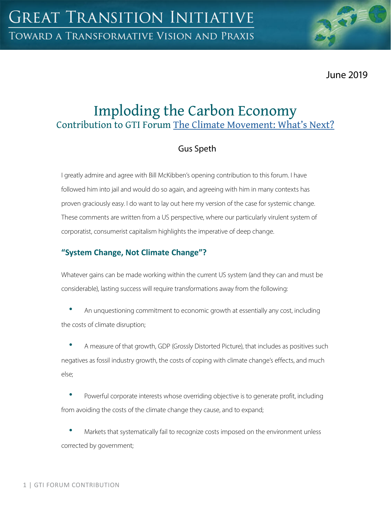June 2019

# Imploding the Carbon Economy Contribution to GTI Forum [The Climate Movement: What's Next?](https://greattransition.org/gti-forum/climate-movement-whats-next)

## Gus Speth

I greatly admire and agree with Bill McKibben's opening contribution to this forum. I have followed him into jail and would do so again, and agreeing with him in many contexts has proven graciously easy. I do want to lay out here my version of the case for systemic change. These comments are written from a US perspective, where our particularly virulent system of corporatist, consumerist capitalism highlights the imperative of deep change.

## **"System Change, Not Climate Change"?**

Whatever gains can be made working within the current US system (and they can and must be considerable), lasting success will require transformations away from the following:

• An unquestioning commitment to economic growth at essentially any cost, including the costs of climate disruption;

• A measure of that growth, GDP (Grossly Distorted Picture), that includes as positives such negatives as fossil industry growth, the costs of coping with climate change's effects, and much else;

Powerful corporate interests whose overriding objective is to generate profit, including from avoiding the costs of the climate change they cause, and to expand;

Markets that systematically fail to recognize costs imposed on the environment unless corrected by government;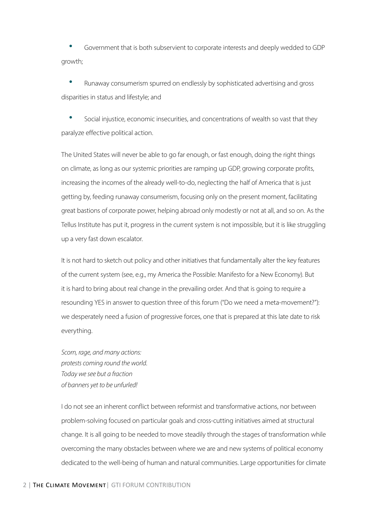• Government that is both subservient to corporate interests and deeply wedded to GDP growth;

• Runaway consumerism spurred on endlessly by sophisticated advertising and gross disparities in status and lifestyle; and

• Social injustice, economic insecurities, and concentrations of wealth so vast that they paralyze effective political action.

The United States will never be able to go far enough, or fast enough, doing the right things on climate, as long as our systemic priorities are ramping up GDP, growing corporate profits, increasing the incomes of the already well-to-do, neglecting the half of America that is just getting by, feeding runaway consumerism, focusing only on the present moment, facilitating great bastions of corporate power, helping abroad only modestly or not at all, and so on. As the Tellus Institute has put it, progress in the current system is not impossible, but it is like struggling up a very fast down escalator.

It is not hard to sketch out policy and other initiatives that fundamentally alter the key features of the current system (see, e.g., my America the Possible: Manifesto for a New Economy). But it is hard to bring about real change in the prevailing order. And that is going to require a resounding YES in answer to question three of this forum ("Do we need a meta-movement?"): we desperately need a fusion of progressive forces, one that is prepared at this late date to risk everything.

*Scorn, rage, and many actions: protests coming round the world. Today we see but a fraction of banners yet to be unfurled!*

I do not see an inherent conflict between reformist and transformative actions, nor between problem-solving focused on particular goals and cross-cutting initiatives aimed at structural change. It is all going to be needed to move steadily through the stages of transformation while overcoming the many obstacles between where we are and new systems of political economy dedicated to the well-being of human and natural communities. Large opportunities for climate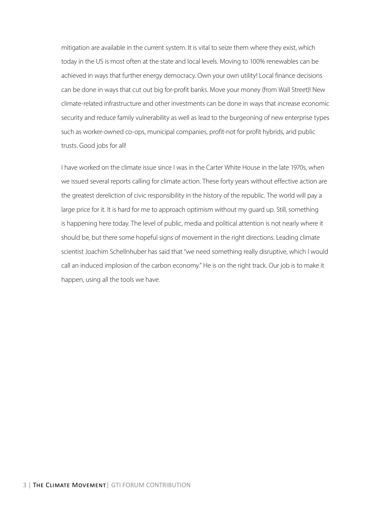mitigation are available in the current system. It is vital to seize them where they exist, which today in the US is most often at the state and local levels. Moving to 100% renewables can be achieved in ways that further energy democracy. Own your own utility! Local finance decisions can be done in ways that cut out big for-profit banks. Move your money (from Wall Street)! New climate-related infrastructure and other investments can be done in ways that increase economic security and reduce family vulnerability as well as lead to the burgeoning of new enterprise types such as worker-owned co-ops, municipal companies, profit-not for profit hybrids, and public trusts. Good jobs for all!

I have worked on the climate issue since I was in the Carter White House in the late 1970s, when we issued several reports calling for climate action. These forty years without effective action are the greatest dereliction of civic responsibility in the history of the republic. The world will pay a large price for it. It is hard for me to approach optimism without my guard up. Still, something is happening here today. The level of public, media and political attention is not nearly where it should be, but there some hopeful signs of movement in the right directions. Leading climate scientist Joachim Schellnhuber has said that "we need something really disruptive, which I would call an induced implosion of the carbon economy." He is on the right track. Our job is to make it happen, using all the tools we have.